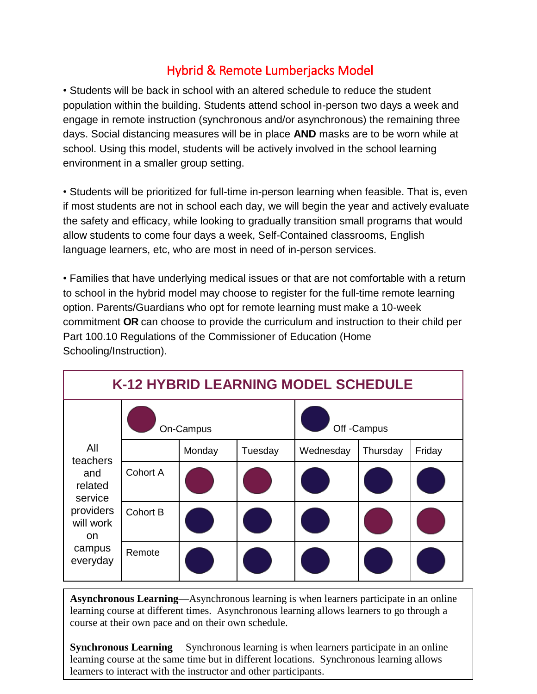## Hybrid & Remote Lumberjacks Model

• Students will be back in school with an altered schedule to reduce the student population within the building. Students attend school in-person two days a week and engage in remote instruction (synchronous and/or asynchronous) the remaining three days. Social distancing measures will be in place **AND** masks are to be worn while at school. Using this model, students will be actively involved in the school learning environment in a smaller group setting.

• Students will be prioritized for full-time in-person learning when feasible. That is, even if most students are not in school each day, we will begin the year and actively evaluate the safety and efficacy, while looking to gradually transition small programs that would allow students to come four days a week, Self-Contained classrooms, English language learners, etc, who are most in need of in-person services.

• Families that have underlying medical issues or that are not comfortable with a return to school in the hybrid model may choose to register for the full-time remote learning option. Parents/Guardians who opt for remote learning must make a 10-week commitment **OR** can choose to provide the curriculum and instruction to their child per Part 100.10 Regulations of the Commissioner of Education (Home Schooling/Instruction).

| K-12 HYBRID LEARNING MODEL SCHEDULE                                                                 |                 |        |         |             |          |        |  |  |
|-----------------------------------------------------------------------------------------------------|-----------------|--------|---------|-------------|----------|--------|--|--|
| All<br>teachers<br>and<br>related<br>service<br>providers<br>will work<br>on.<br>campus<br>everyday | On-Campus       |        |         | Off -Campus |          |        |  |  |
|                                                                                                     |                 | Monday | Tuesday | Wednesday   | Thursday | Friday |  |  |
|                                                                                                     | <b>Cohort A</b> |        |         |             |          |        |  |  |
|                                                                                                     | <b>Cohort B</b> |        |         |             |          |        |  |  |
|                                                                                                     | Remote          |        |         |             |          |        |  |  |

**Asynchronous Learning**—Asynchronous learning is when learners participate in an online learning course at different times. Asynchronous learning allows learners to go through a course at their own pace and on their own schedule.

**Synchronous Learning**— Synchronous learning is when learners participate in an online learning course at the same time but in different locations. Synchronous learning allows learners to interact with the instructor and other participants.